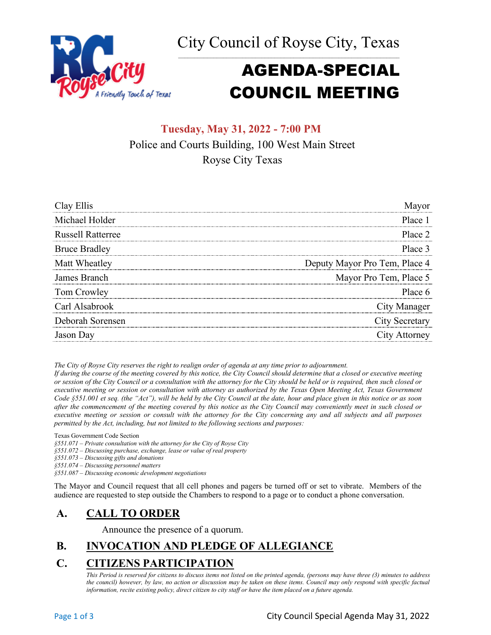City Council of Royse City, Texas



# AGENDA-SPECIAL COUNCIL MEETING

## **Tuesday, May 31, 2022 - 7:00 PM** Police and Courts Building, 100 West Main Street Royse City Texas

| Clay Ellis               | Mavor                         |
|--------------------------|-------------------------------|
| Michael Holder           | Place 1                       |
| <b>Russell Ratterree</b> | Place 2                       |
| <b>Bruce Bradley</b>     | Place 3                       |
| Matt Wheatley            | Deputy Mayor Pro Tem, Place 4 |
| James Branch             | Mayor Pro Tem, Place 5        |
| Tom Crowley              | Place 6                       |
| Carl Alsabrook           | <b>City Manager</b>           |
| Deborah Sorensen         | City Secretary                |
| Jason Day                | City Attorney                 |

*The City of Royse City reserves the right to realign order of agenda at any time prior to adjournment.*

*If during the course of the meeting covered by this notice, the City Council should determine that a closed or executive meeting or session of the City Council or a consultation with the attorney for the City should be held or is required, then such closed or executive meeting or session or consultation with attorney as authorized by the Texas Open Meeting Act, Texas Government Code §551.001 et seq. (the "Act"), will be held by the City Council at the date, hour and place given in this notice or as soon after the commencement of the meeting covered by this notice as the City Council may conveniently meet in such closed or executive meeting or session or consult with the attorney for the City concerning any and all subjects and all purposes permitted by the Act, including, but not limited to the following sections and purposes:*

Texas Government Code Section

*§551.071 – Private consultation with the attorney for the City of Royse City* 

*§551.072 – Discussing purchase, exchange, lease or value of real property* 

*§551.073 – Discussing gifts and donations*

*§551.074 – Discussing personnel matters*

*§551.087 – Discussing economic development negotiations*

The Mayor and Council request that all cell phones and pagers be turned off or set to vibrate. Members of the audience are requested to step outside the Chambers to respond to a page or to conduct a phone conversation.

### **A. CALL TO ORDER**

Announce the presence of a quorum.

# **B. INVOCATION AND PLEDGE OF ALLEGIANCE**

## **C. CITIZENS PARTICIPATION**

*This Period is reserved for citizens to discuss items not listed on the printed agenda, (persons may have three (3) minutes to address the council) however, by law, no action or discussion may be taken on these items. Council may only respond with specific factual information, recite existing policy, direct citizen to city staff or have the item placed on a future agenda.*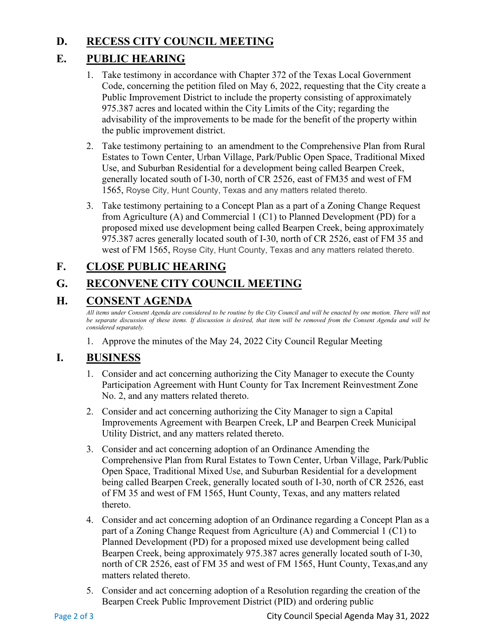#### **D. RECESS CITY COUNCIL MEETING**

#### **E. PUBLIC HEARING**

- 1. Take testimony in accordance with Chapter 372 of the Texas Local Government Code, concerning the petition filed on May 6, 2022, requesting that the City create a Public Improvement District to include the property consisting of approximately 975.387 acres and located within the City Limits of the City; regarding the advisability of the improvements to be made for the benefit of the property within the public improvement district.
- 2. Take testimony pertaining to an amendment to the Comprehensive Plan from Rural Estates to Town Center, Urban Village, Park/Public Open Space, Traditional Mixed Use, and Suburban Residential for a development being called Bearpen Creek, generally located south of I-30, north of CR 2526, east of FM35 and west of FM 1565, Royse City, Hunt County, Texas and any matters related thereto.
- 3. Take testimony pertaining to a Concept Plan as a part of a Zoning Change Request from Agriculture (A) and Commercial 1 (C1) to Planned Development (PD) for a proposed mixed use development being called Bearpen Creek, being approximately 975.387 acres generally located south of I-30, north of CR 2526, east of FM 35 and west of FM 1565, Royse City, Hunt County, Texas and any matters related thereto.

### **F. CLOSE PUBLIC HEARING**

### **G. RECONVENE CITY COUNCIL MEETING**

#### **H. CONSENT AGENDA**

*All items under Consent Agenda are considered to be routine by the City Council and will be enacted by one motion. There will not*  be separate discussion of these items. If discussion is desired, that item will be removed from the Consent Agenda and will be *considered separately.*

1. Approve the minutes of the May 24, 2022 City Council Regular Meeting

#### **I. BUSINESS**

- 1. Consider and act concerning authorizing the City Manager to execute the County Participation Agreement with Hunt County for Tax Increment Reinvestment Zone No. 2, and any matters related thereto.
- 2. Consider and act concerning authorizing the City Manager to sign a Capital Improvements Agreement with Bearpen Creek, LP and Bearpen Creek Municipal Utility District, and any matters related thereto.
- 3. Consider and act concerning adoption of an Ordinance Amending the Comprehensive Plan from Rural Estates to Town Center, Urban Village, Park/Public Open Space, Traditional Mixed Use, and Suburban Residential for a development being called Bearpen Creek, generally located south of I-30, north of CR 2526, east of FM 35 and west of FM 1565, Hunt County, Texas, and any matters related thereto.
- 4. Consider and act concerning adoption of an Ordinance regarding a Concept Plan as a part of a Zoning Change Request from Agriculture (A) and Commercial 1 (C1) to Planned Development (PD) for a proposed mixed use development being called Bearpen Creek, being approximately 975.387 acres generally located south of I-30, north of CR 2526, east of FM 35 and west of FM 1565, Hunt County, Texas,and any matters related thereto.
- 5. Consider and act concerning adoption of a Resolution regarding the creation of the Bearpen Creek Public Improvement District (PID) and ordering public

Page 2 of 3 City Council Special Agenda May 31, 2022